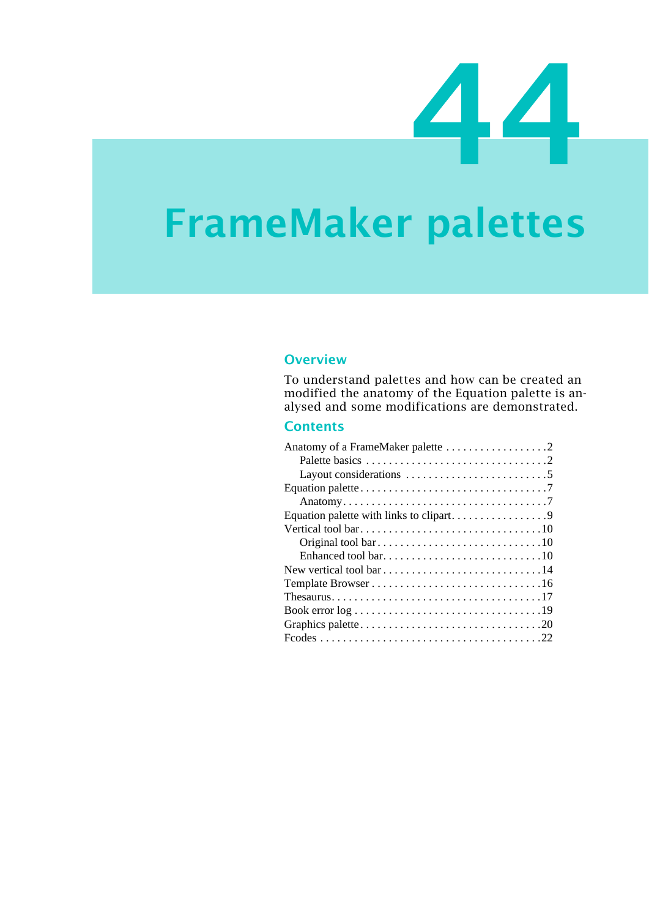

# **FrameMaker palettes**

### **Overview**

To understand palettes and how can be created an modified the anatomy of the Equation palette is analysed and some modifications are demonstrated.

### **Contents**

| Layout considerations $\dots \dots \dots \dots \dots \dots \dots \dots$                   |
|-------------------------------------------------------------------------------------------|
|                                                                                           |
|                                                                                           |
| Equation palette with links to clipart9                                                   |
|                                                                                           |
|                                                                                           |
|                                                                                           |
|                                                                                           |
|                                                                                           |
|                                                                                           |
| Book error $log \ldots \ldots \ldots \ldots \ldots \ldots \ldots \ldots \ldots \ldots 19$ |
|                                                                                           |
|                                                                                           |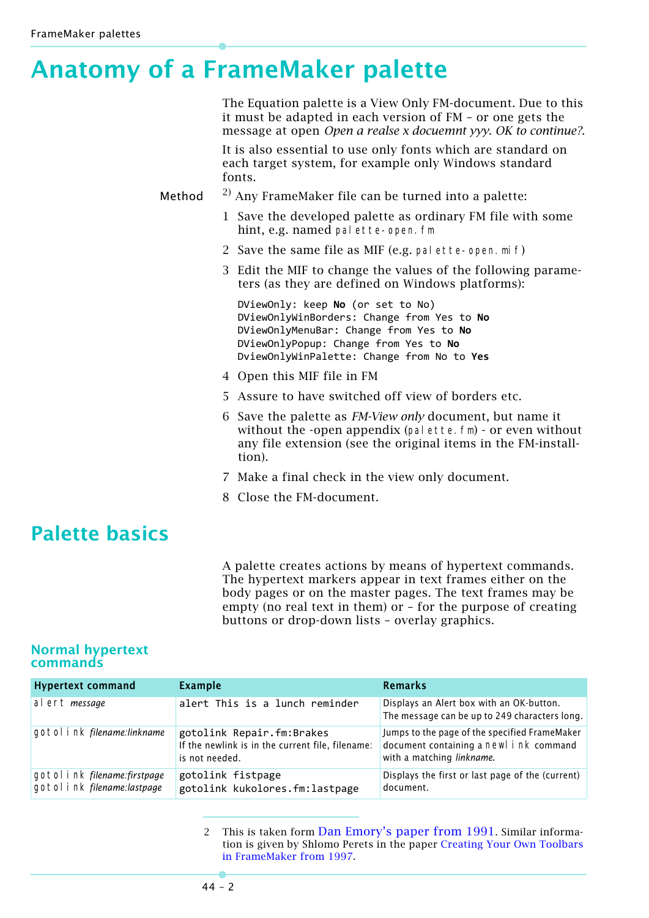# <span id="page-1-0"></span>**Anatomy of a FrameMaker palette**

|        | The Equation palette is a View Only FM-document. Due to this<br>it must be adapted in each version of FM - or one gets the<br>message at open Open a realse x docuemnt yyy. OK to continue?.                      |
|--------|-------------------------------------------------------------------------------------------------------------------------------------------------------------------------------------------------------------------|
|        | It is also essential to use only fonts which are standard on<br>each target system, for example only Windows standard<br>fonts.                                                                                   |
| Method | $^{2)}$ Any FrameMaker file can be turned into a palette:                                                                                                                                                         |
|        | 1 Save the developed palette as ordinary FM file with some<br>hint, e.g. named palette-open. fm                                                                                                                   |
|        | 2 Save the same file as MIF (e.g. pal ette-open. mi f)                                                                                                                                                            |
|        | 3 Edit the MIF to change the values of the following parame-<br>ters (as they are defined on Windows platforms):                                                                                                  |
|        | DViewOnly: keep No (or set to No)<br>DViewOnlyWinBorders: Change from Yes to No<br>DViewOnlyMenuBar: Change from Yes to No<br>DViewOnlyPopup: Change from Yes to No<br>DviewOnlyWinPalette: Change from No to Yes |
|        | 4 Open this MIF file in FM                                                                                                                                                                                        |
|        | 5 Assure to have switched off view of borders etc.                                                                                                                                                                |
|        | 6 Save the palette as <i>FM-View only</i> document, but name it<br>without the -open appendix (pal ette. fm) - or even without<br>any file extension (see the original items in the FM-install-<br>tion).         |
|        | 7 Make a final check in the view only document.                                                                                                                                                                   |

8 Close the FM-document.

## <span id="page-1-1"></span>**Palette basics**

A palette creates actions by means of hypertext commands. The hypertext markers appear in text frames either on the body pages or on the master pages. The text frames may be empty (no real text in them) or – for the purpose of creating buttons or drop-down lists – overlay graphics.

### **Normal hypertext commands**

| <b>Hypertext command</b>                                       | <b>Example</b>                                                                                  | <b>Remarks</b>                                                                                                        |
|----------------------------------------------------------------|-------------------------------------------------------------------------------------------------|-----------------------------------------------------------------------------------------------------------------------|
| al ert message                                                 | alert This is a lunch reminder                                                                  | Displays an Alert box with an OK-button.<br>The message can be up to 249 characters long.                             |
| gotol i nk filename: linkname                                  | gotolink Repair.fm:Brakes<br>If the newlink is in the current file, filename:<br>is not needed. | Jumps to the page of the specified FrameMaker<br>document containing a newl i nk command<br>with a matching linkname. |
| gotol i nk filename: firstpage<br>gotol i nk filename:lastpage | gotolink fistpage<br>gotolink kukolores.fm:lastpage                                             | Displays the first or last page of the (current)<br>document.                                                         |

2 This is taken form [Dan Emory's paper from 1991](file://E:/_DDDprojects/FM-palettes/Palettes[DanEmory].pdf). Similar information is given by Shlomo Perets in the paper [Creating Your Own Toolbars](ftp://ftp.uni-duisburg.de/Adobe/FrameMaker/MicroType/palette.pdf)  [in FrameMaker from 1997](ftp://ftp.uni-duisburg.de/Adobe/FrameMaker/MicroType/palette.pdf).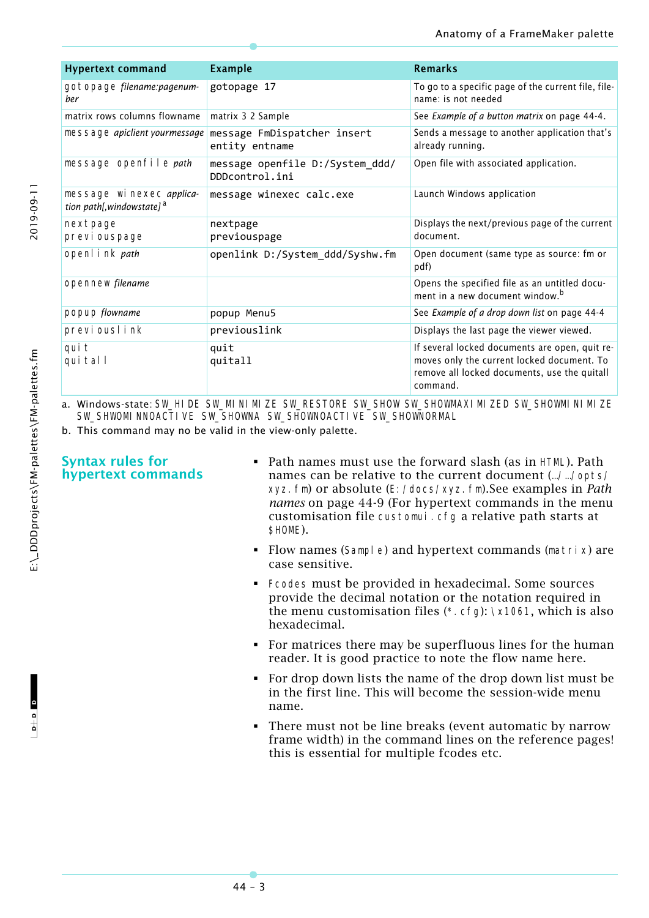| <b>Hypertext command</b>                                          | <b>Example</b>                                    | <b>Remarks</b>                                                                                                                                           |  |  |  |  |
|-------------------------------------------------------------------|---------------------------------------------------|----------------------------------------------------------------------------------------------------------------------------------------------------------|--|--|--|--|
| gotopage filename: pagenum-<br>ber                                | gotopage 17                                       | To go to a specific page of the current file, file-<br>name: is not needed                                                                               |  |  |  |  |
| matrix rows columns flowname                                      | matrix 3 2 Sample                                 | See Example of a button matrix on page 44-4.                                                                                                             |  |  |  |  |
| message apiclient yourmessage                                     | message FmDispatcher insert<br>entity entname     | Sends a message to another application that's<br>already running.                                                                                        |  |  |  |  |
| message openfile path                                             | message openfile D:/System_ddd/<br>DDDcontrol.ini | Open file with associated application.                                                                                                                   |  |  |  |  |
| message wi nexec applica-<br>tion path[,windowstate] <sup>a</sup> | message winexec calc.exe                          | Launch Windows application                                                                                                                               |  |  |  |  |
| nextpage<br>previ ouspage                                         | nextpage<br>previouspage                          | Displays the next/previous page of the current<br>document.                                                                                              |  |  |  |  |
| openl i nk path                                                   | openlink D:/System_ddd/Syshw.fm                   | Open document (same type as source: fm or<br>pdf)                                                                                                        |  |  |  |  |
| opennew filename                                                  |                                                   | Opens the specified file as an untitled docu-<br>ment in a new document window. <sup>b</sup>                                                             |  |  |  |  |
| popup flowname                                                    | popup Menu5                                       | See Example of a drop down list on page 44-4                                                                                                             |  |  |  |  |
| previouslink                                                      | previouslink                                      | Displays the last page the viewer viewed.                                                                                                                |  |  |  |  |
| qui t<br>qui tal l                                                | quit<br>quitall                                   | If several locked documents are open, quit re-<br>moves only the current locked document. To<br>remove all locked documents, use the quitall<br>command. |  |  |  |  |

Windows-state: SW\_HIDE SW\_MINIMIZE SW\_RESTORE SW\_SHOW SW\_SHOWMAXIMIZED SW\_SHOWMINIMIZE SW\_SHWOMINNOACTIVE SW\_SHOWNA SW\_SHOWNOACTIVE SW\_SHOWNORMAL

b. This command may no be valid in the view-only palette.

### **Syntax rules for hypertext commands**

- Path names must use the forward slash (as in HTML). Path names can be relative to the current document (…/…/opts/ xyz.fm) or absolute (E:/docs/xyz.fm).See examples in *[Path](#page-8-1)  names* [on page 44-9](#page-8-1) (For hypertext commands in the menu customisation file customui.cfg a relative path starts at \$HOME).
- Flow names (Sample) and hypertext commands (matrix) are case sensitive.
- Fcodes must be provided in hexadecimal. Some sources provide the decimal notation or the notation required in the menu customisation files (\*.cfg): \x1061, which is also hexadecimal.
- For matrices there may be superfluous lines for the human reader. It is good practice to note the flow name here.
- For drop down lists the name of the drop down list must be in the first line. This will become the session-wide menu name.
- There must not be line breaks (event automatic by narrow frame width) in the command lines on the reference pages! this is essential for multiple fcodes etc.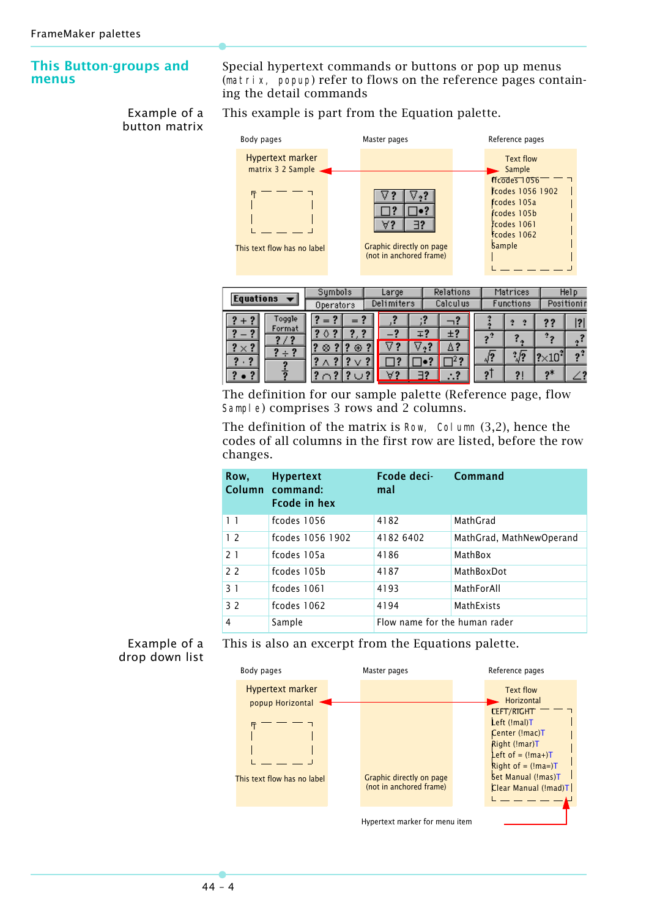### <span id="page-3-0"></span>**This Button-groups and menus**

Example of a button matrix This example is part from the Equation palette.

ing the detail commands

Special hypertext commands or buttons or pop up menus (matrix, popup) refer to flows on the reference pages contain-



| <b>Equations</b>                     | Symbols<br>Operators |    | Large<br>Delimiters |    | Relations<br>Calculus |  |                | Matrices<br>Functions |             | Help<br>Positionin |  |
|--------------------------------------|----------------------|----|---------------------|----|-----------------------|--|----------------|-----------------------|-------------|--------------------|--|
| Toggle<br>Format                     | =                    |    |                     |    |                       |  |                |                       | ??          |                    |  |
| $\mathbf{r}$<br>$\times$ ? $^\prime$ | ◊<br>⊕<br>⊗          | 2  |                     | ∓. | Ξ?                    |  | 2 <sup>2</sup> |                       | т.          |                    |  |
| o                                    |                      |    |                     | 2  | $\overline{2}$        |  | $\sqrt{?}$     | $\sqrt{2}$            | $2\times10$ | 2 <sup>2</sup>     |  |
| 2<br>2                               |                      | ּי | -19                 |    | - 2                   |  | 2              |                       | ŋ*          |                    |  |

The definition for our sample palette (Reference page, flow Sample) comprises 3 rows and 2 columns.

The definition of the matrix is Row, Column (3,2), hence the codes of all columns in the first row are listed, before the row changes.

| Row,           | <b>Hypertext</b><br>Column command:<br><b>Fcode in hex</b> | <b>Fcode deci-</b><br>mal     | Command                  |  |  |  |  |
|----------------|------------------------------------------------------------|-------------------------------|--------------------------|--|--|--|--|
| 1 <sub>1</sub> | fcodes 1056                                                | 4182                          | MathGrad                 |  |  |  |  |
| 12             | fcodes 1056 1902                                           | 4182 6402                     | MathGrad, MathNewOperand |  |  |  |  |
| 21             | fcodes 105a                                                | 4186                          | MathBox                  |  |  |  |  |
| 2 <sub>2</sub> | fcodes 105b                                                | 4187                          | MathBoxDot               |  |  |  |  |
| 3 <sub>1</sub> | fcodes 1061                                                | 4193                          | MathForAll               |  |  |  |  |
| 32             | fcodes 1062                                                | 4194                          | <b>MathExists</b>        |  |  |  |  |
| 4              | Sample                                                     | Flow name for the human rader |                          |  |  |  |  |

<span id="page-3-1"></span>Example of a drop down list This is also an excerpt from the Equations palette.



Hypertext marker for menu item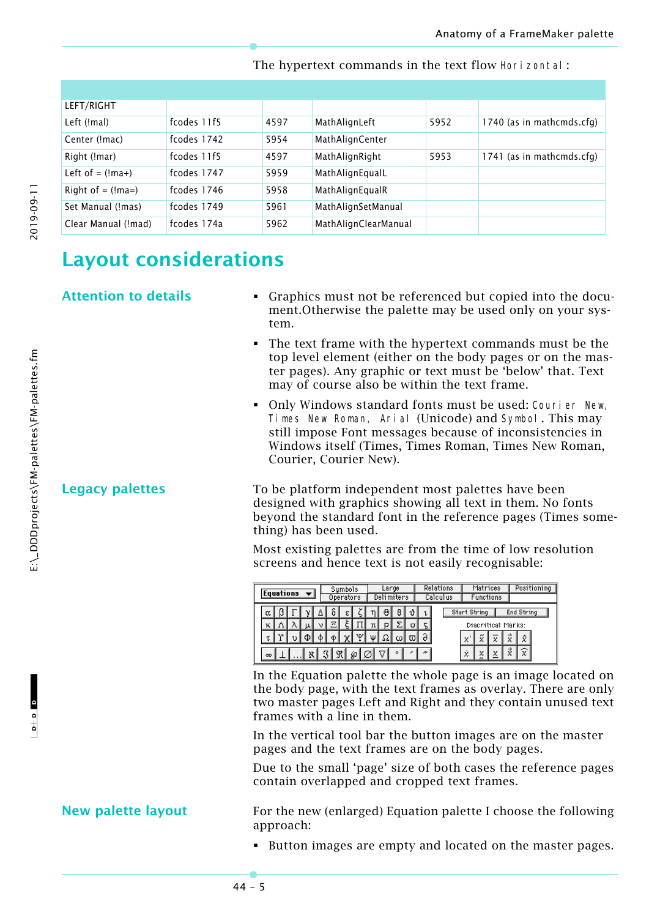| LEFT/RIGHT           |             |      |                      |      |                           |
|----------------------|-------------|------|----------------------|------|---------------------------|
| Left (!mal)          | fcodes 11f5 | 4597 | MathAlignLeft        | 5952 | 1740 (as in mathcmds.cfg) |
| Center (!mac)        | fcodes 1742 | 5954 | MathAlignCenter      |      |                           |
| Right (!mar)         | fcodes 11f5 | 4597 | MathAlignRight       | 5953 | 1741 (as in mathcmds.cfg) |
| Left of $=$ $(lma+)$ | fcodes 1747 | 5959 | MathAlignEqualL      |      |                           |
| Right of $=$ (!ma=)  | fcodes 1746 | 5958 | MathAlignEqualR      |      |                           |
| Set Manual (!mas)    | fcodes 1749 | 5961 | MathAlignSetManual   |      |                           |
| Clear Manual (!mad)  | fcodes 174a | 5962 | MathAlignClearManual |      |                           |

The hypertext commands in the text flow Horizontal:

# 2019-09-11

## <span id="page-4-0"></span>**Layout considerations**

- **Attention to details Interest 10 Complete Followity Comparent Attention to details Comparent Comparent Comparent Attention** to details ment.Otherwise the palette may be used only on your system.
	- The text frame with the hypertext commands must be the top level element (either on the body pages or on the master pages). Any graphic or text must be 'below' that. Text may of course also be within the text frame.
	- Only Windows standard fonts must be used: Courier New, Times New Roman, Arial (Unicode) and Symbol. This may still impose Font messages because of inconsistencies in Windows itself (Times, Times Roman, Times New Roman, Courier, Courier New).

**Legacy palettes** To be platform independent most palettes have been designed with graphics showing all text in them. No fonts beyond the standard font in the reference pages (Times something) has been used.

> Most existing palettes are from the time of low resolution screens and hence text is not easily recognisable:

| <b>Equations</b>          |         | Sumbols<br>Operators |   | Large<br>Delimiters |   |         |    | Relations<br>Calculus | Matrices<br>Functions                                                    |        | Positioning                    |
|---------------------------|---------|----------------------|---|---------------------|---|---------|----|-----------------------|--------------------------------------------------------------------------|--------|--------------------------------|
| α<br>κ<br>50.<br>$\infty$ | ਜ਼<br>ν | ε<br>Mr.<br>5.8<br>∞ | π | Θ<br>Ρ<br>ΩΙ        | ۰ | σ<br>បា | ×. |                       | Start String<br>Diacritical Marks:<br>w<br>$\mathbf{x}'$<br>Ÿ,<br>ż<br>χ | χ<br>χ | End String<br>ĝ<br>x<br>え<br>X |

In the Equation palette the whole page is an image located on the body page, with the text frames as overlay. There are only two master pages Left and Right and they contain unused text frames with a line in them.

In the vertical tool bar the button images are on the master pages and the text frames are on the body pages.

Due to the small 'page' size of both cases the reference pages contain overlapped and cropped text frames.

**New palette layout** For the new (enlarged) Equation palette I choose the following approach:

Button images are empty and located on the master pages.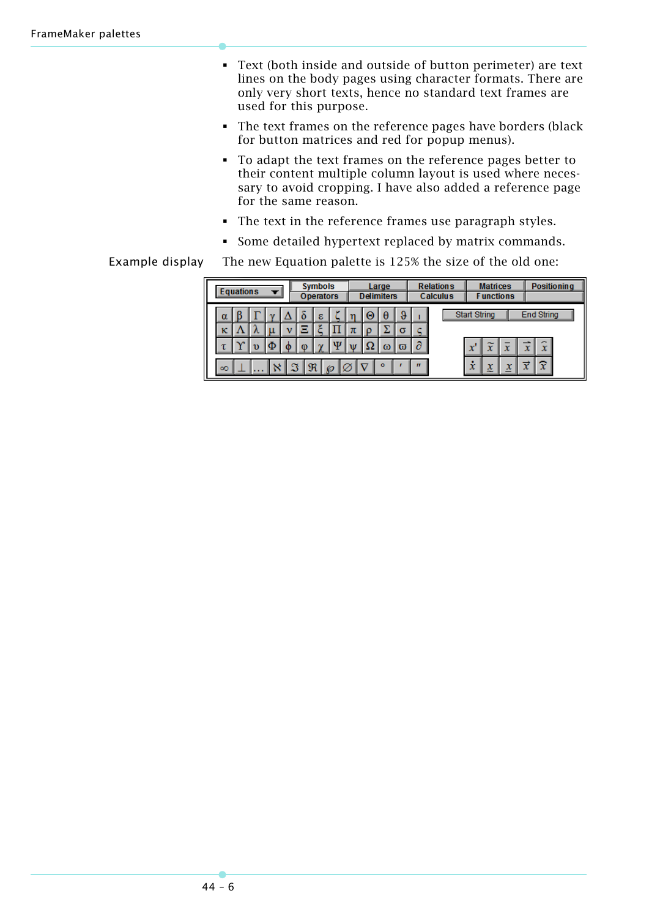- Text (both inside and outside of button perimeter) are text lines on the body pages using character formats. There are only very short texts, hence no standard text frames are used for this purpose.
- The text frames on the reference pages have borders (black for button matrices and red for popup menus).
- To adapt the text frames on the reference pages better to their content multiple column layout is used where necessary to avoid cropping. I have also added a reference page for the same reason.
- The text in the reference frames use paragraph styles.
- Some detailed hypertext replaced by matrix commands.

### Example display The new Equation palette is 125% the size of the old one:

| <b>Equations</b> |  |  |  | <b>Symbols</b><br><b>Operators</b> |     |               |   | Large<br><b>Delimiters</b> |        |          |     | <b>Relations</b><br>Calculus | <b>Matrices</b><br><b>Functions</b> |                     |        | <b>Positioning</b> |                        |  |
|------------------|--|--|--|------------------------------------|-----|---------------|---|----------------------------|--------|----------|-----|------------------------------|-------------------------------------|---------------------|--------|--------------------|------------------------|--|
| $\alpha$         |  |  |  |                                    |     | ε             |   |                            | Θ<br>O | θ        | σ   |                              |                                     | Start String        |        |                    | <b>End String</b>      |  |
|                  |  |  |  | Φ                                  | -CD |               | w |                            |        | $\omega$ | ិបា | $\partial$                   |                                     | $\mathbf{x}'$       |        |                    | ×.<br>$\mathbf x$      |  |
| $\infty$         |  |  |  |                                    | I R | $\mathcal{P}$ |   |                            |        | $\circ$  |     | $^{\prime\prime}$            |                                     | ٠<br>$\overline{x}$ | х<br>æ | ᄉ                  | $\widehat{\mathbf{x}}$ |  |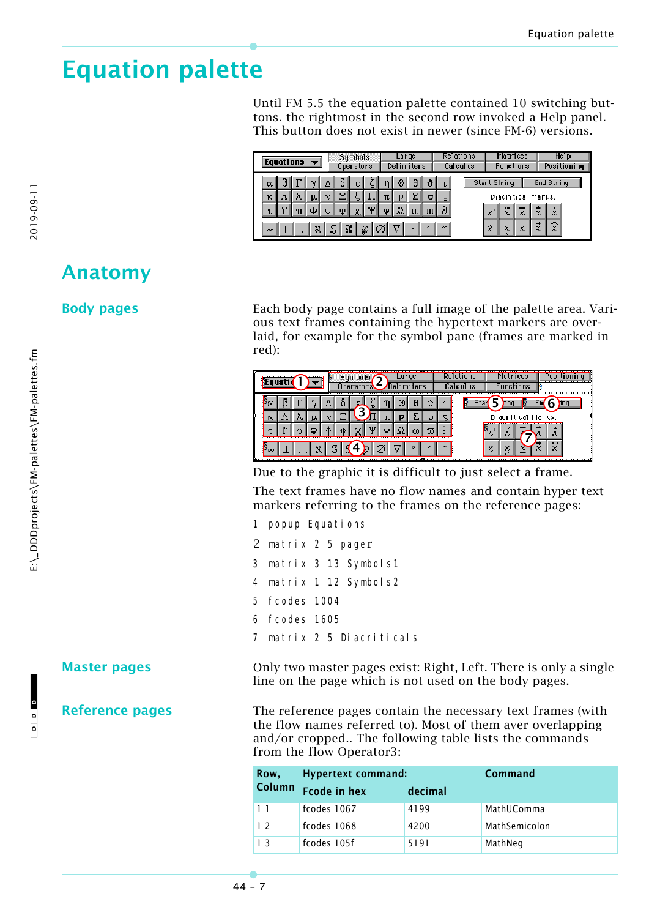# <span id="page-6-0"></span>**Equation palette**

Until FM 5.5 the equation palette contained 10 switching buttons. the rightmost in the second row invoked a Help panel. This button does not exist in newer (since FM-6) versions.

| Equations |     |  |    |    | Sumbols<br>Operators |   | Large<br>Delimiters |         |   | Relations<br>Calculus |   | Matrices<br>Functions |              |         | Help<br>Positioning |   |            |  |
|-----------|-----|--|----|----|----------------------|---|---------------------|---------|---|-----------------------|---|-----------------------|--------------|---------|---------------------|---|------------|--|
| α.        |     |  |    |    |                      | ε |                     | Θ       | H |                       | ь |                       | Start String |         |                     |   | End String |  |
| κ         |     |  | μ. | 72 | е                    |   |                     |         |   |                       |   |                       |              |         | Diacritical Marks:  |   |            |  |
|           | 3.9 |  |    |    |                      |   | 9T F                | ا ما ال |   |                       | o |                       | χ            | œ<br>X  | x                   | x | ŵ          |  |
| $\infty$  |     |  |    |    |                      |   | Ø                   |         |   |                       | æ |                       | 文            | X<br>e. | χ                   | 茫 | ×.<br>x    |  |

### <span id="page-6-1"></span>**Anatomy**

**Body pages** Each body page contains a full image of the palette area. Various text frames containing the hypertext markers are overlaid, for example for the symbol pane (frames are marked in red):



Due to the graphic it is difficult to just select a frame.

The text frames have no flow names and contain hyper text markers referring to the frames on the reference pages:

- 1 popup Equations
- 2 matrix 2 5 pager
- 3 matrix 3 13 Symbols1
- 4 matrix 1 12 Symbols2
- 5 fcodes 1004
- 6 fcodes 1605
- 7 matrix 2 5 Diacriticals

**Master pages** Only two master pages exist: Right, Left. There is only a single line on the page which is not used on the body pages.

**Reference pages** The reference pages contain the necessary text frames (with the flow names referred to). Most of them aver overlapping and/or cropped.. The following table lists the commands from the flow Operator3:

| Row,           | <b>Hypertext command:</b> | Command |               |
|----------------|---------------------------|---------|---------------|
| <b>Column</b>  | <b>Fcode in hex</b>       | decimal |               |
| 1 <sub>1</sub> | fcodes 1067               | 4199    | MathUComma    |
| 12             | fcodes 1068               | 4200    | MathSemicolon |
| 13             | fcodes 105f               | 5191    | MathNeg       |

 $\mathbf{c}$  a  $\mathbf{c}$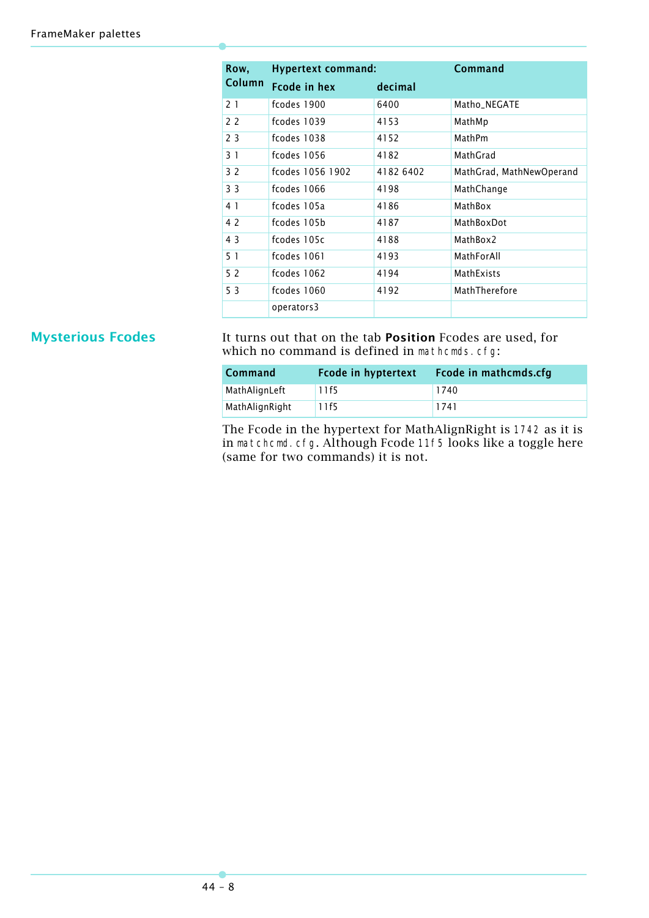| Row,           | <b>Hypertext command:</b> | Command   |                          |
|----------------|---------------------------|-----------|--------------------------|
| Column         | <b>Fcode in hex</b>       | decimal   |                          |
| 21             | fcodes 1900               | 6400      | Matho_NEGATE             |
| 2 <sub>2</sub> | fcodes 1039               | 4153      | MathMp                   |
| 23             | fcodes 1038               | 4152      | MathPm                   |
| 31             | fcodes 1056               | 4182      | MathGrad                 |
| 32             | fcodes 1056 1902          | 4182 6402 | MathGrad, MathNewOperand |
| 3 <sub>3</sub> | fcodes 1066               | 4198      | MathChange               |
| 4 1            | fcodes 105a               | 4186      | MathBox                  |
| 4 2            | fcodes 105b               | 4187      | MathBoxDot               |
| 43             | fcodes 105c               | 4188      | MathBox2                 |
| 51             | fcodes 1061               | 4193      | MathForAll               |
| 52             | fcodes 1062               | 4194      | MathExists               |
| 53             | fcodes 1060               | 4192      | MathTherefore            |
|                | operators3                |           |                          |

**Mysterious Fcodes** It turns out that on the tab **Position** Fcodes are used, for which no command is defined in mathcmds.cfg:

| Command        | <b>Fcode in hyptertext</b> | <b>Fcode in mathcmds.cfg</b> |
|----------------|----------------------------|------------------------------|
| MathAlignLeft  | 11f5                       | 1740                         |
| MathAlignRight | 11f5                       | 1741                         |

The Fcode in the hypertext for MathAlignRight is 1742 as it is in matchcmd.cfg. Although Fcode 11f5 looks like a toggle here (same for two commands) it is not.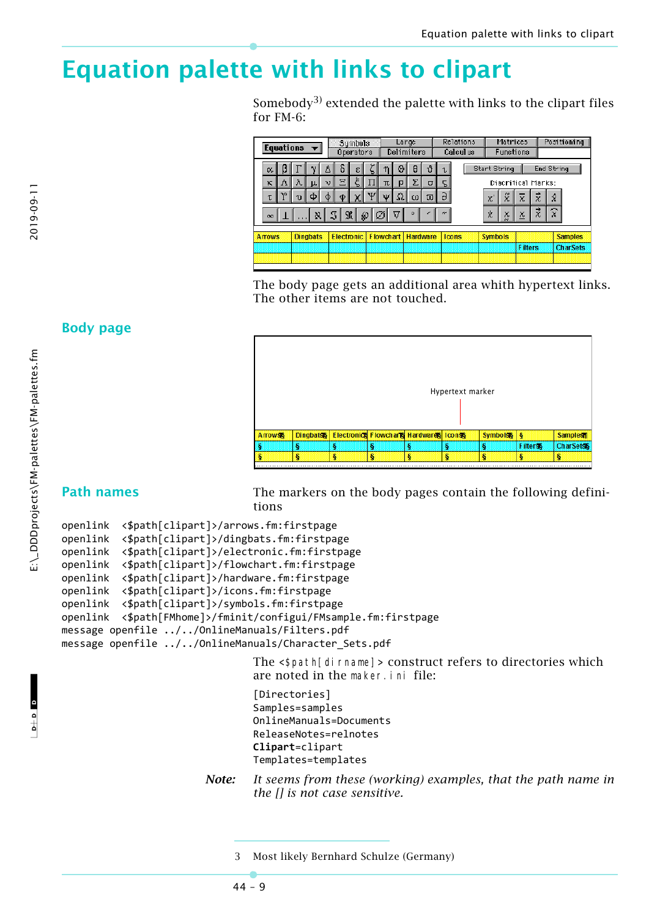# <span id="page-8-0"></span>**Equation palette with links to clipart**

Somebody<sup>3)</sup> extended the palette with links to the clipart files for FM-6:

|               |   | Equations $\blacktriangledown$ |                 |     |    | Sumbols<br>Operators |      |                  | Large | Delimiters      |                |            | Relations<br>Calculus, |                | Matrices                | Functions               |           |                        | Positioning     |
|---------------|---|--------------------------------|-----------------|-----|----|----------------------|------|------------------|-------|-----------------|----------------|------------|------------------------|----------------|-------------------------|-------------------------|-----------|------------------------|-----------------|
| α.            | ß |                                |                 | Δ   | δ  | ε                    |      |                  | ΘI    | a               | ึ่ง            | τ          |                        | Start String   |                         |                         |           | End String             |                 |
| к             | Λ | ΛI                             | μ.              | νI  | Ξ  |                      |      | πΙ               | p     | Σ               | $\sigma$       | 5          |                        |                |                         | Diacritical Marks:      |           |                        |                 |
| Æ             | γ | υ                              | Ф               | Ф   | O. | $\mathcal{X}_0$      | Ψ    | ้น               | ΩΙ    | $\omega$        | $\overline{w}$ | $\partial$ |                        | $\mathbf{x}$   | $\stackrel{\sim}{\chi}$ | $\overline{\mathbf{x}}$ | X         | ŷ                      |                 |
| $\infty$      |   |                                |                 | x 3 |    | $\mathfrak{R}$       | ⊗∣⊘∣ |                  | ν     | $\circ$         |                | æ          |                        | ż              | χ                       | X                       | $\vec{x}$ | $\widehat{\mathbf{x}}$ |                 |
| <b>Arrows</b> |   |                                | <b>Dingbats</b> |     |    | Electronic           |      | <b>Flowchart</b> |       | <b>Hardware</b> |                |            | Icons                  | <b>Symbols</b> |                         |                         |           |                        | <b>Samples</b>  |
|               |   |                                |                 |     |    |                      |      |                  |       |                 |                |            |                        |                |                         | <b>Filters</b>          |           |                        | <b>CharSets</b> |
|               |   |                                |                 |     |    |                      |      |                  |       |                 |                |            |                        |                |                         |                         |           |                        |                 |

The body page gets an additional area whith hypertext links. The other items are not touched.

### **Body page**



<span id="page-8-1"></span>**Path names** The markers on the body pages contain the following definitions

```
openlink  <$path[clipart]>/arrows.fm:firstpage
openlink  <$path[clipart]>/dingbats.fm:firstpage
openlink  <$path[clipart]>/electronic.fm:firstpage
openlink  <$path[clipart]>/flowchart.fm:firstpage
openlink  <$path[clipart]>/hardware.fm:firstpage
openlink  <$path[clipart]>/icons.fm:firstpage
openlink  <$path[clipart]>/symbols.fm:firstpage
openlink  <$path[FMhome]>/fminit/configui/FMsample.fm:firstpage
message openfile ../../OnlineManuals/Filters.pdf
message openfile ../../OnlineManuals/Character Sets.pdf
```
The <\$path[dirname]> construct refers to directories which are noted in the maker.ini file:

```
[Directories]
Samples=samples
OnlineManuals=Documents
ReleaseNotes=relnotes
Clipart=clipart
Templates=templates
```
*Note: It seems from these (working) examples, that the path name in the [] is not case sensitive.*

2019-09-11

<sup>3</sup> Most likely Bernhard Schulze (Germany)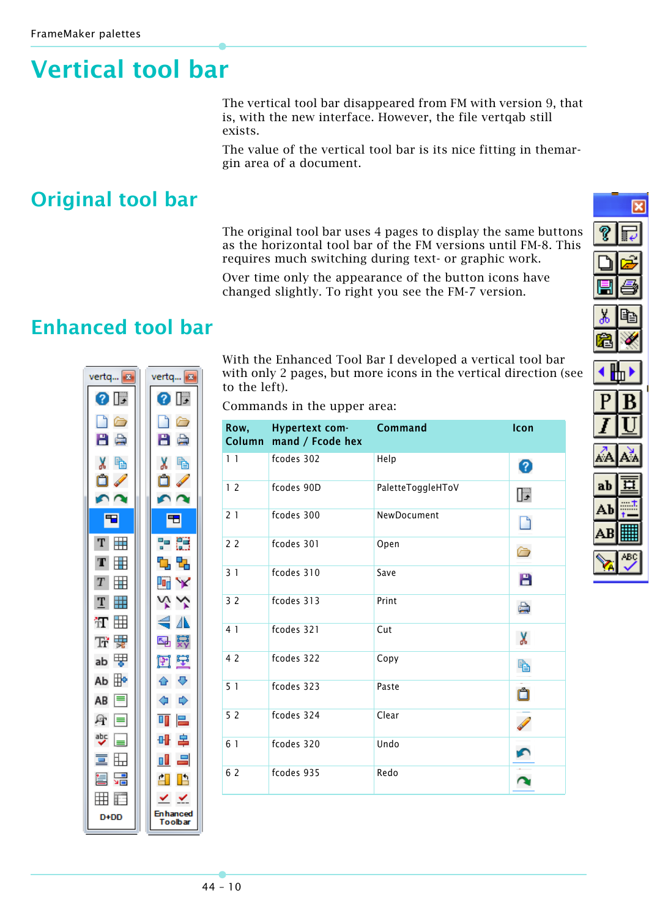# <span id="page-9-0"></span>**Vertical tool bar**

The vertical tool bar disappeared from FM with version 9, that is, with the new interface. However, the file vertqab still exists.

The value of the vertical tool bar is its nice fitting in themargin area of a document.

# <span id="page-9-1"></span>**Original tool bar**

The original tool bar uses 4 pages to display the same buttons as the horizontal tool bar of the FM versions until FM-8. This requires much switching during text- or graphic work.

Over time only the appearance of the button icons have changed slightly. To right you see the FM-7 version.

# <span id="page-9-2"></span>**Enhanced tool bar**

| vertq 8                   | vertq <mark>.</mark>         |
|---------------------------|------------------------------|
| 0 IF                      | 0 IF                         |
| n                         | 6                            |
| В<br>e)                   | B<br>ė,                      |
| X<br>ħ                    | X<br>ħ<br>ı                  |
| Ô                         | Ô                            |
|                           |                              |
| 中                         | Ŧ                            |
| T                         | Ő<br>멂                       |
| T                         | 먹<br>Ъ                       |
| $\mathbf T$               | 呵<br>Y                       |
| T                         | Υ<br>⇘                       |
| 'nΤ                       | €<br>⚠                       |
| 靀<br>Ŧř                   | 罬<br>ᆋ                       |
| 嗶<br>ab                   | 壁<br>団                       |
| ቑ<br>Ab                   | ⊕<br>♦                       |
| $\equiv$<br>AB            | ♦<br>                        |
| 昼<br>l≡l                  | 믄<br>$\overline{\mathbf{u}}$ |
| 뺫                         | 辜<br>₩ŀ                      |
| $\overline{\blacksquare}$ | ゠<br>пI                      |
| 믊<br>冒                    | Ľ<br>AП                      |
| F<br>曲                    | ⊻                            |
| $D+DD$                    | <b>En hanced</b><br>oolbar   |
|                           |                              |

With the Enhanced Tool Bar I developed a vertical tool bar with only 2 pages, but more icons in the vertical direction (see to the left).

Commands in the upper area:

| Row,<br>Column | Hypertext com-<br>mand / Fcode hex | <b>Command</b>    | Icon |
|----------------|------------------------------------|-------------------|------|
| 1 <sub>1</sub> | fcodes 302                         | Help              | 0    |
| 12             | fcodes 90D                         | PaletteToggleHToV | ℾ    |
| 21             | fcodes 300                         | NewDocument       |      |
| 22             | fcodes 301                         | Open              |      |
| 31             | fcodes 310                         | Save              | B    |
| 3 <sub>2</sub> | fcodes 313                         | Print             |      |
| 4 1            | fcodes 321                         | Cut               | X    |
| 4 2            | fcodes 322                         | Copy              | Ð    |
| 5 <sub>1</sub> | fcodes 323                         | Paste             |      |
| 52             | fcodes 324                         | Clear             |      |
| 6 1            | fcodes 320                         | Undo              |      |
| 6 2            | fcodes 935                         | Redo              |      |

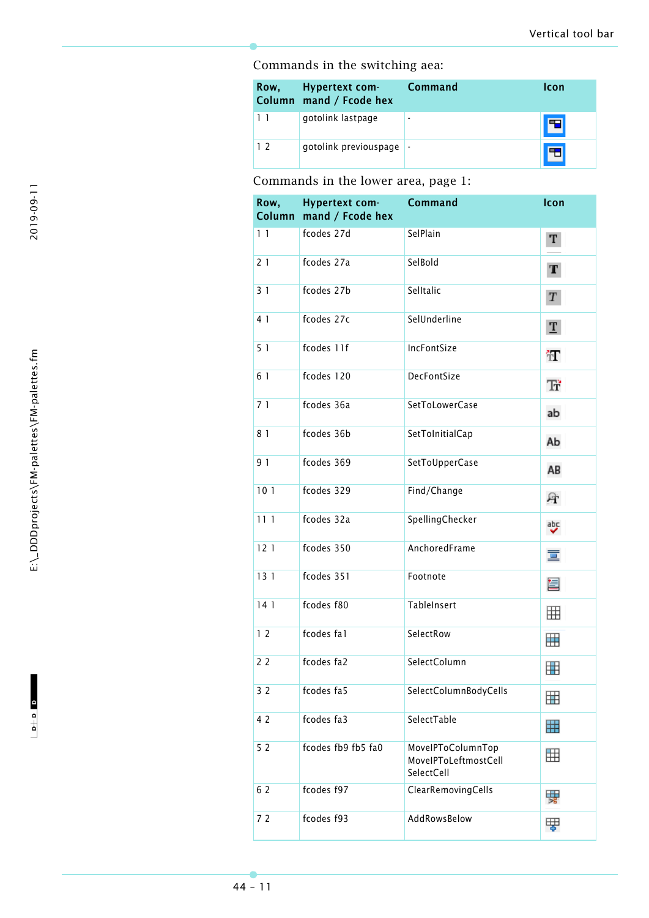### Commands in the switching aea:

|                | Row, Hypertext com-<br>Column mand / Fcode hex | <b>Command</b> | <b>Icon</b> |
|----------------|------------------------------------------------|----------------|-------------|
|                | gotolink lastpage                              |                |             |
| 1 <sub>2</sub> | qotolink previouspage                          |                |             |

### Commands in the lower area, page 1:

| Row, | Hypertext com-<br>Column mand / Fcode hex | <b>Command</b>                                          | Icon             |
|------|-------------------------------------------|---------------------------------------------------------|------------------|
| 11   | fcodes 27d                                | SelPlain                                                | Т                |
| 21   | fcodes 27a                                | SelBold                                                 | Т                |
| 31   | fcodes 27b                                | Selltalic                                               | $\boldsymbol{T}$ |
| 4 1  | fcodes 27c                                | SelUnderline                                            | $\mathbf{T}$     |
| 51   | fcodes 11f                                | IncFontSize                                             | π                |
| 6 1  | fcodes 120                                | DecFontSize                                             | Ŧř               |
| 71   | fcodes 36a                                | SetToLowerCase                                          | ab               |
| 81   | fcodes 36b                                | SetToInitialCap                                         | Ab               |
| 9 1  | fcodes 369                                | SetToUpperCase                                          | AB               |
| 101  | fcodes 329                                | Find/Change                                             | A                |
| 111  | fcodes 32a                                | SpellingChecker                                         | ᄬ                |
| 121  | fcodes 350                                | AnchoredFrame                                           | 亘                |
| 131  | fcodes 351                                | Footnote                                                | 圁                |
| 141  | fcodes f80                                | TableInsert                                             | 囲                |
| 12   | fcodes fal                                | SelectRow                                               | 囲                |
| 22   | fcodes fa2                                | SelectColumn                                            | ▦                |
| 32   | fcodes fa5                                | SelectColumnBodyCells                                   | ⊞                |
| 4 2  | fcodes fa3                                | SelectTable                                             | ₩                |
| 52   | fcodes fb9 fb5 fa0                        | MovelPToColumnTop<br>MovelPToLeftmostCell<br>SelectCell | 囲                |
| 6 2  | fcodes f97                                | ClearRemovingCells                                      | 驆                |
| 72   | fcodes f93                                | AddRowsBelow                                            | 嗶                |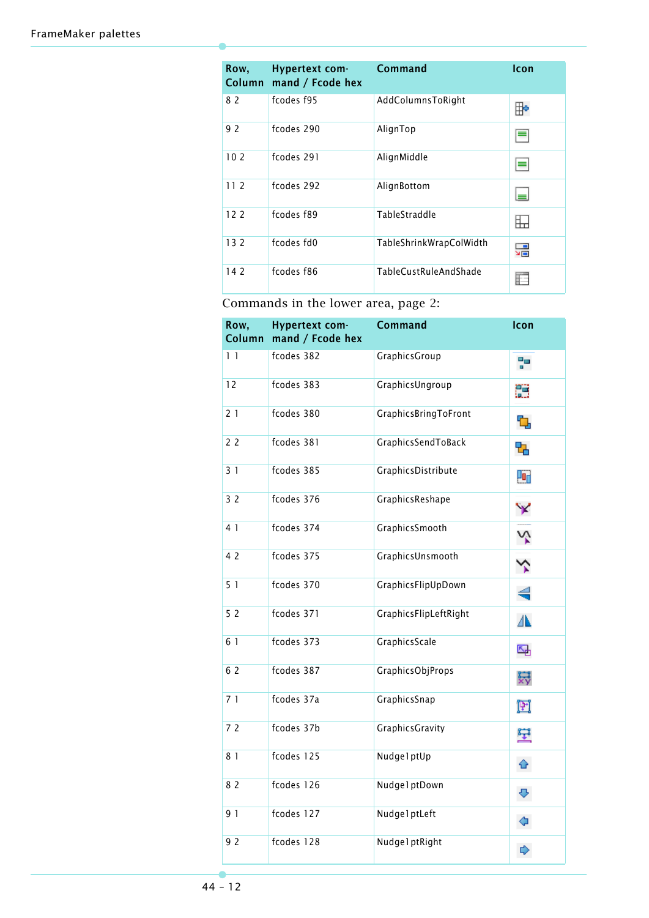| Row,            | Hypertext com-<br>Column mand / Fcode hex | <b>Command</b>          | Icon |
|-----------------|-------------------------------------------|-------------------------|------|
| 82              | fcodes f95                                | AddColumnsToRight       | ⊪    |
| 92              | fcodes 290                                | AlignTop                |      |
| 10 <sub>2</sub> | fcodes 291                                | AlignMiddle             |      |
| 11 <sub>2</sub> | fcodes 292                                | AlignBottom             |      |
| 12 <sub>2</sub> | fcodes f89                                | TableStraddle           |      |
| 132             | fcodes fd0                                | TableShrinkWrapColWidth | 믊    |
| 142             | fcodes f86                                | TableCustRuleAndShade   |      |

Commands in the lower area, page 2:

| Row,<br>Column | <b>Hypertext com-</b><br>mand / Fcode hex | <b>Command</b>              | Icon |
|----------------|-------------------------------------------|-----------------------------|------|
| 11             | fcodes 382                                | GraphicsGroup               | 明    |
| 12             | fcodes 383                                | GraphicsUngroup             | 麗    |
| 21             | fcodes 380                                | <b>GraphicsBringToFront</b> | Ъ    |
| 22             | fcodes 381                                | GraphicsSendToBack          | 먹    |
| 31             | fcodes 385                                | GraphicsDistribute          | 喕    |
| 32             | fcodes 376                                | GraphicsReshape             | Y    |
| 4 1            | fcodes 374                                | GraphicsSmooth              | Ņ    |
| 4 2            | fcodes 375                                | GraphicsUnsmooth            | ⅍    |
| 51             | fcodes 370                                | GraphicsFlipUpDown          | ╡    |
| 52             | fcodes 371                                | GraphicsFlipLeftRight       | ⚠    |
| 6 1            | fcodes 373                                | GraphicsScale               | 品    |
| 6 2            | fcodes 387                                | GraphicsObjProps            | 罬    |
| 71             | fcodes 37a                                | GraphicsSnap                | 団    |
| 72             | fcodes 37b                                | <b>GraphicsGravity</b>      | 壁    |
| 8 1            | fcodes 125                                | NudgelptUp                  | ≙    |
| 8 2            | fcodes 126                                | Nudge 1 ptDown              | ⊕    |
| 91             | fcodes 127                                | Nudge1ptLeft                | ⇦    |
| 92             | fcodes 128                                | Nudge 1 ptRight             | ⋫    |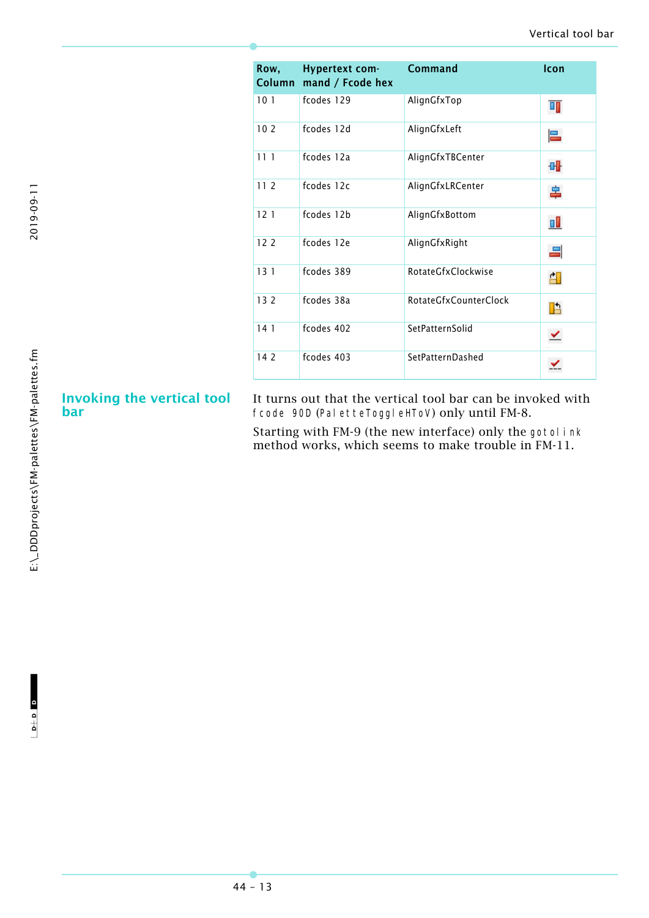| Row,            | Hypertext com-<br>Column mand / Fcode hex | Command               | Icon |
|-----------------|-------------------------------------------|-----------------------|------|
| 101             | fcodes 129                                | AlignGfxTop           | T)   |
| 102             | fcodes 12d                                | AlignGfxLeft          | 믄    |
| 111             | fcodes 12a                                | AlignGfxTBCenter      | 매    |
| 11 <sub>2</sub> | fcodes 12c                                | AlignGfxLRCenter      | 辠    |
| 121             | fcodes 12b                                | AlignGfxBottom        | пI   |
| 122             | fcodes 12e                                | AlignGfxRight         | 드    |
| 131             | fcodes 389                                | RotateGfxClockwise    | 印    |
| 132             | fcodes 38a                                | RotateGfxCounterClock | Ŀ    |
| 141             | fcodes 402                                | SetPatternSolid       |      |
| 142             | fcodes 403                                | SetPatternDashed      |      |

### **Invoking the vertical tool bar**

It turns out that the vertical tool bar can be invoked with fcode 90D (PaletteToggleHToV) only until FM-8.

Starting with FM-9 (the new interface) only the gotol ink method works, which seems to make trouble in FM-11.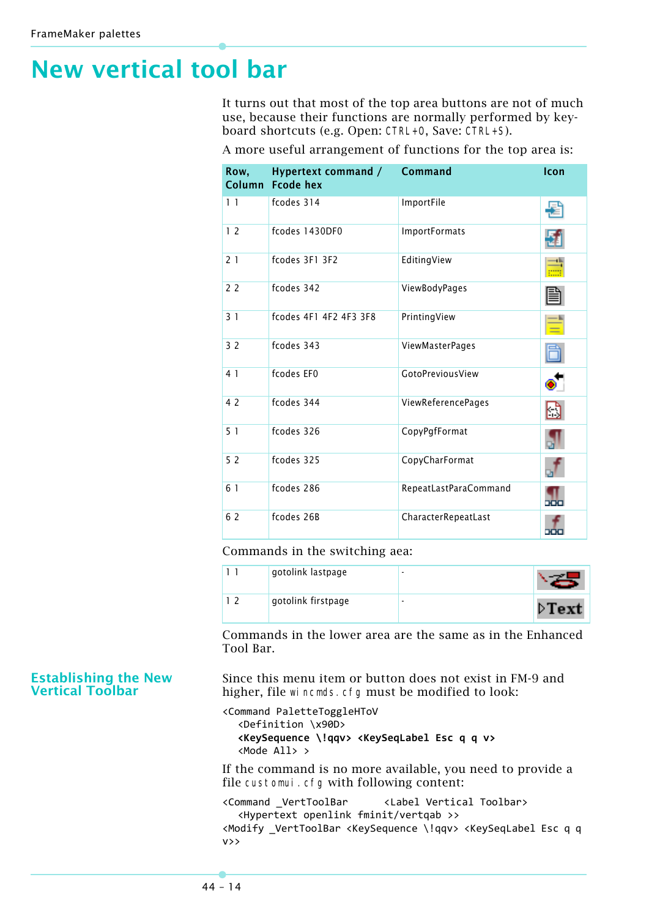# <span id="page-13-0"></span>**New vertical tool bar**

It turns out that most of the top area buttons are not of much use, because their functions are normally performed by keyboard shortcuts (e.g. Open: CTRL+O, Save: CTRL+S).

| Row,           | Hypertext command /<br>Column Fcode hex | <b>Command</b>        | Icon |
|----------------|-----------------------------------------|-----------------------|------|
| 1 <sub>1</sub> | fcodes 314                              | ImportFile            |      |
| 12             | fcodes 1430DF0                          | <b>ImportFormats</b>  |      |
| 21             | fcodes 3F1 3F2                          | EditingView           |      |
| 22             | fcodes 342                              | ViewBodyPages         |      |
| 31             | fcodes 4F1 4F2 4F3 3F8                  | PrintingView          |      |
| 3 <sub>2</sub> | fcodes 343                              | ViewMasterPages       |      |
| 4 1            | fcodes EF0                              | GotoPreviousView      |      |
| 4 2            | fcodes 344                              | ViewReferencePages    | נו   |
| 51             | fcodes 326                              | CopyPgfFormat         |      |
| 52             | fcodes 325                              | CopyCharFormat        |      |
| 6 1            | fcodes 286                              | RepeatLastParaCommand |      |
| 6 2            | fcodes 26B                              | CharacterRepeatLast   | ппи  |

A more useful arrangement of functions for the top area is:

Commands in the switching aea:

|  | gotolink lastpage  | - |                       |
|--|--------------------|---|-----------------------|
|  | gotolink firstpage | ۰ | $\triangleright$ Text |

Commands in the lower area are the same as in the Enhanced Tool Bar.

Since this menu item or button does not exist in FM-9 and higher, file wincmds.cfg must be modified to look:

```
<Command PaletteToggleHToV
  <Definition \x90D>
  <KeySequence \!qqv> <KeySeqLabel Esc q q v>
  <Mode All> >
```
If the command is no more available, you need to provide a file customui.cfg with following content:

<Command \_VertToolBar <Label Vertical Toolbar> <Hypertext openlink fminit/vertqab >> <Modify \_VertToolBar <KeySequence \!qqv> <KeySeqLabel Esc q q v>>

### **Establishing the New Vertical Toolbar**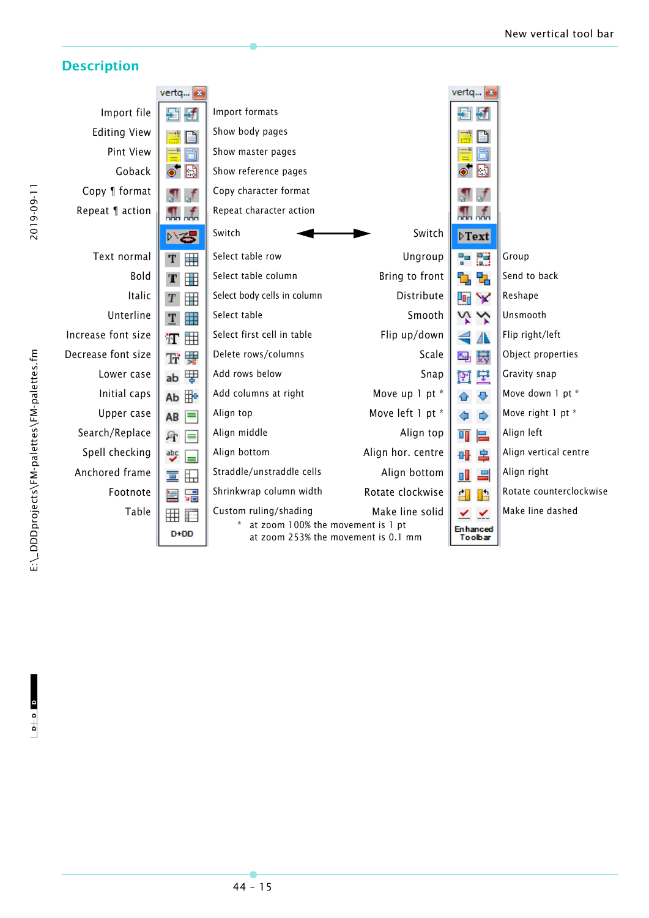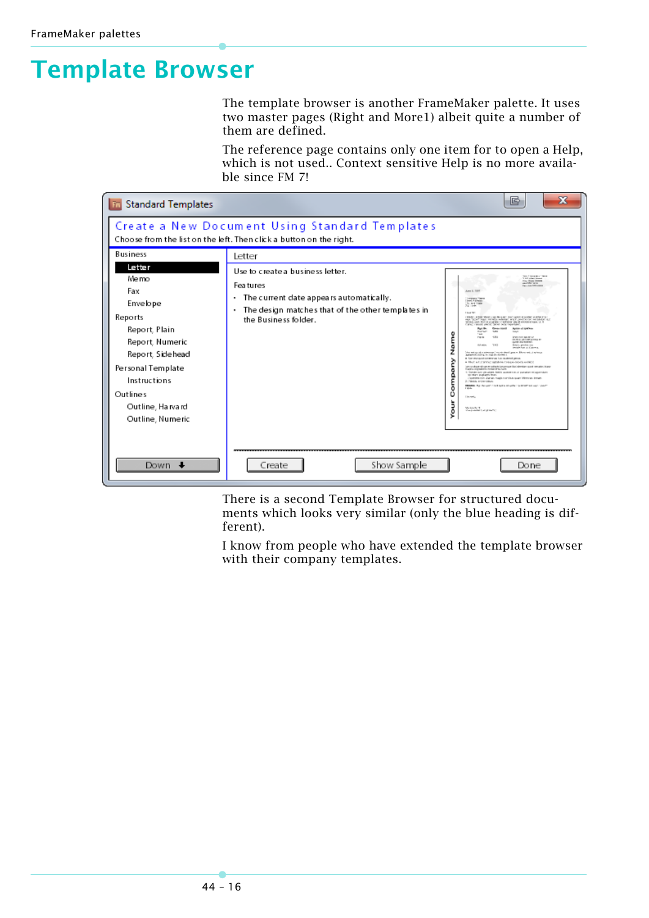# <span id="page-15-0"></span>**Template Browser**

The template browser is another FrameMaker palette. It uses two master pages (Right and More1) albeit quite a number of them are defined.

The reference page contains only one item for to open a Help, which is not used.. Context sensitive Help is no more available since FM 7!



There is a second Template Browser for structured documents which looks very similar (only the blue heading is different).

I know from people who have extended the template browser with their company templates.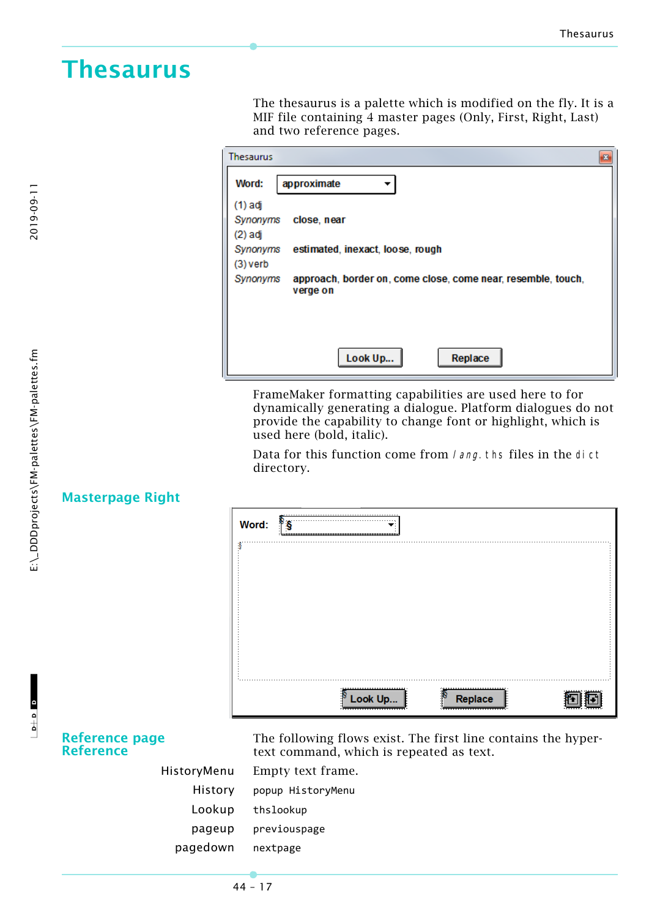# <span id="page-16-0"></span>**Thesaurus**

The thesaurus is a palette which is modified on the fly. It is a MIF file containing 4 master pages (Only, First, Right, Last) and two reference pages.

| <b>Thesaurus</b>                                                         |
|--------------------------------------------------------------------------|
| Word:<br>approximate                                                     |
| (1) adj                                                                  |
| close, near<br>Synonyms                                                  |
| $(2)$ adj                                                                |
| estimated, inexact, loose, rough<br>Synonyms                             |
| (3) verb                                                                 |
| approach, border on, come close, come near, resemble, touch,<br>Synonyms |
| verge on                                                                 |
|                                                                          |
|                                                                          |
|                                                                          |
| Look Up<br>Replace                                                       |

FrameMaker formatting capabilities are used here to for dynamically generating a dialogue. Platform dialogues do not provide the capability to change font or highlight, which is used here (bold, italic).

Data for this function come from *lang*. ths files in the dict directory.

| Word: | ီ§ |         |                                                   |  |
|-------|----|---------|---------------------------------------------------|--|
|       |    |         |                                                   |  |
|       |    |         |                                                   |  |
|       |    |         |                                                   |  |
|       |    |         |                                                   |  |
|       |    |         |                                                   |  |
|       |    |         |                                                   |  |
|       |    |         |                                                   |  |
|       |    |         |                                                   |  |
|       |    |         |                                                   |  |
|       |    |         |                                                   |  |
|       |    | Look Up | Replace<br>, <del>,,,,,,,,,,,,,,,,,,,,,,,</del> , |  |

### **Masterpage Right**

**Reference page Reference**

The following flows exist. The first line contains the hypertext command, which is repeated as text.

|          | HistoryMenu Empty text frame. |
|----------|-------------------------------|
|          | History popup HistoryMenu     |
| Lookup   | thslookup                     |
| pageup   | previouspage                  |
| pagedown | nextpage                      |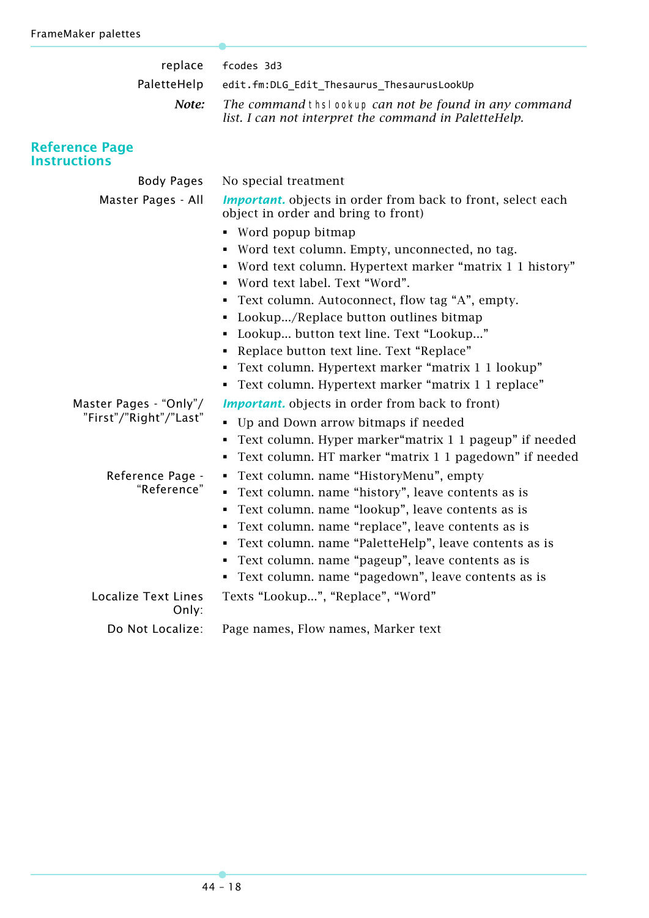| replace                                      | fcodes 3d3                                                                                                      |
|----------------------------------------------|-----------------------------------------------------------------------------------------------------------------|
| PaletteHelp                                  | edit.fm:DLG_Edit_Thesaurus_ThesaurusLookUp                                                                      |
| Note:                                        | The command thsi ookup can not be found in any command<br>list. I can not interpret the command in PaletteHelp. |
| <b>Reference Page</b><br><b>Instructions</b> |                                                                                                                 |
| <b>Body Pages</b>                            | No special treatment                                                                                            |
| Master Pages - All                           | <b>Important.</b> objects in order from back to front, select each<br>object in order and bring to front)       |
|                                              | • Word popup bitmap                                                                                             |
|                                              | Word text column. Empty, unconnected, no tag.                                                                   |
|                                              | • Word text column. Hypertext marker "matrix 1 1 history"                                                       |
|                                              | • Word text label. Text "Word".                                                                                 |
|                                              | Text column. Autoconnect, flow tag "A", empty.                                                                  |
|                                              | Lookup/Replace button outlines bitmap                                                                           |
|                                              | Lookup button text line. Text "Lookup"                                                                          |
|                                              | Replace button text line. Text "Replace"<br>٠                                                                   |
|                                              | Text column. Hypertext marker "matrix 1 1 lookup"<br>٠                                                          |
|                                              | • Text column. Hypertext marker "matrix 1 1 replace"                                                            |
| Master Pages - "Only"/                       | <b>Important.</b> objects in order from back to front)                                                          |
| "First"/"Right"/"Last"                       | • Up and Down arrow bitmaps if needed                                                                           |
|                                              | Text column. Hyper marker "matrix 1 1 pageup" if needed                                                         |
|                                              | Text column. HT marker "matrix 1 1 pagedown" if needed<br>٠                                                     |
| Reference Page -                             | • Text column. name "HistoryMenu", empty                                                                        |
| "Reference"                                  | Text column. name "history", leave contents as is                                                               |
|                                              | Text column. name "lookup", leave contents as is                                                                |
|                                              | Text column. name "replace", leave contents as is                                                               |
|                                              | Text column. name "PaletteHelp", leave contents as is                                                           |
|                                              | Text column. name "pageup", leave contents as is<br>٠                                                           |
|                                              | • Text column. name "pagedown", leave contents as is                                                            |
| <b>Localize Text Lines</b><br>Only:          | Texts "Lookup", "Replace", "Word"                                                                               |
| Do Not Localize:                             | Page names, Flow names, Marker text                                                                             |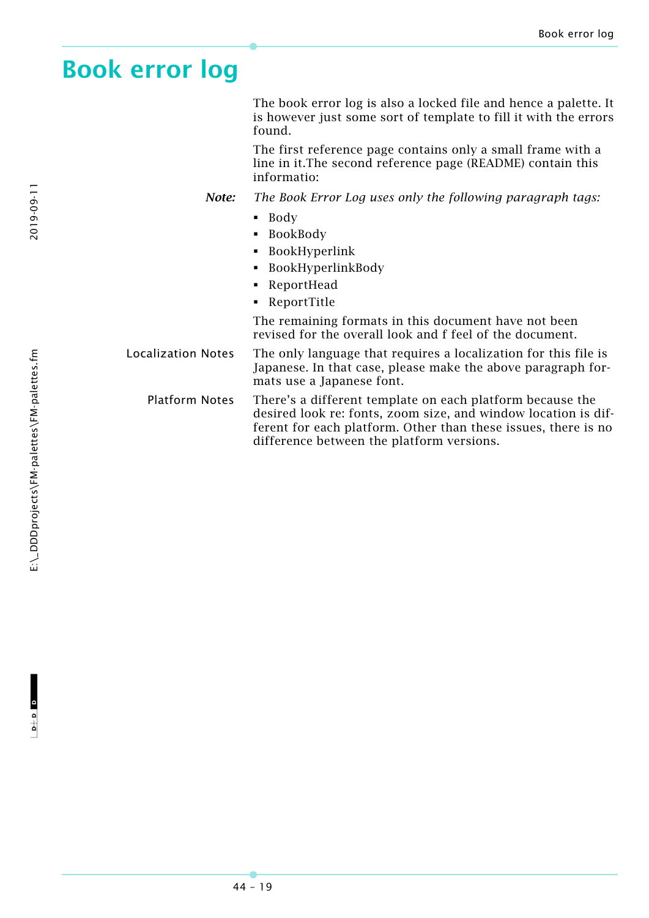# <span id="page-18-0"></span>**Book error log**

The book error log is also a locked file and hence a palette. It is however just some sort of template to fill it with the errors found.

The first reference page contains only a small frame with a line in it.The second reference page (README) contain this informatio:

*Note: The Book Error Log uses only the following paragraph tags:*

- **Body**
- **BookBody**
- BookHyperlink
- BookHyperlinkBody
- ReportHead
- ReportTitle

The remaining formats in this document have not been revised for the overall look and f feel of the document.

Localization Notes The only language that requires a localization for this file is Japanese. In that case, please make the above paragraph formats use a Japanese font.

Platform Notes There's a different template on each platform because the desired look re: fonts, zoom size, and window location is different for each platform. Other than these issues, there is no difference between the platform versions.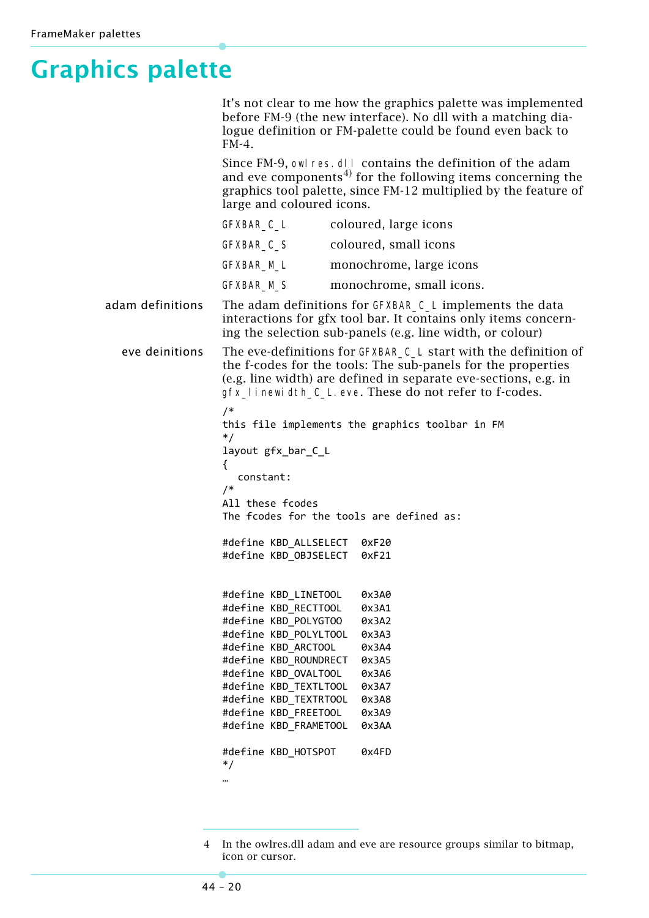# <span id="page-19-0"></span>**Graphics palette**

It's not clear to me how the graphics palette was implemented before FM-9 (the new interface). No dll with a matching dialogue definition or FM-palette could be found even back to FM-4.

Since FM-9, owl res. dl I contains the definition of the adam and eve components<sup>4)</sup> for the following items concerning the graphics tool palette, since FM-12 multiplied by the feature of large and coloured icons.

|                                                       | GFXBAR_C_L | coloured, large icons    |  |
|-------------------------------------------------------|------------|--------------------------|--|
|                                                       | GFXBAR_C_S | coloured, small icons    |  |
|                                                       | GFXBAR_M_L | monochrome, large icons  |  |
|                                                       | GFXBAR_M_S | monochrome, small icons. |  |
| The adam definitions for $CFYRAP \cap I$ implements t |            |                          |  |

adam definitions The adam definitions for GFXBAR\_C\_L implements the data interactions for gfx tool bar. It contains only items concerning the selection sub-panels (e.g. line width, or colour)

eve deinitions The eve-definitions for GFXBAR\_C\_L start with the definition of the f-codes for the tools: The sub-panels for the properties (e.g. line width) are defined in separate eve-sections, e.g. in gfx\_linewidth\_C\_L.eve. These do not refer to f-codes.

```
/*
this file implements the graphics toolbar in FM
*/
layout gfx bar C L
{
  constant:
```
/\* All these fcodes The fcodes for the tools are defined as:

#define KBD\_ALLSELECT 0xF20 #define KBD\_OBJSELECT 0xF21

#define KBD\_LINETOOL 0x3A0 #define KBD\_RECTTOOL 0x3A1 #define KBD\_POLYGTOO 0x3A2 #define KBD\_POLYLTOOL 0x3A3 #define KBD ARCTOOL 0x3A4 #define KBD\_ROUNDRECT 0x3A5 #define KBD\_OVALTOOL 0x3A6 #define KBD\_TEXTLTOOL 0x3A7 #define KBD\_TEXTRTOOL 0x3A8 #define KBD\_FREETOOL 0x3A9 #define KBD\_FRAMETOOL 0x3AA #define KBD\_HOTSPOT 0x4FD \*/ …

In the owlres.dll adam and eve are resource groups similar to bitmap. icon or cursor.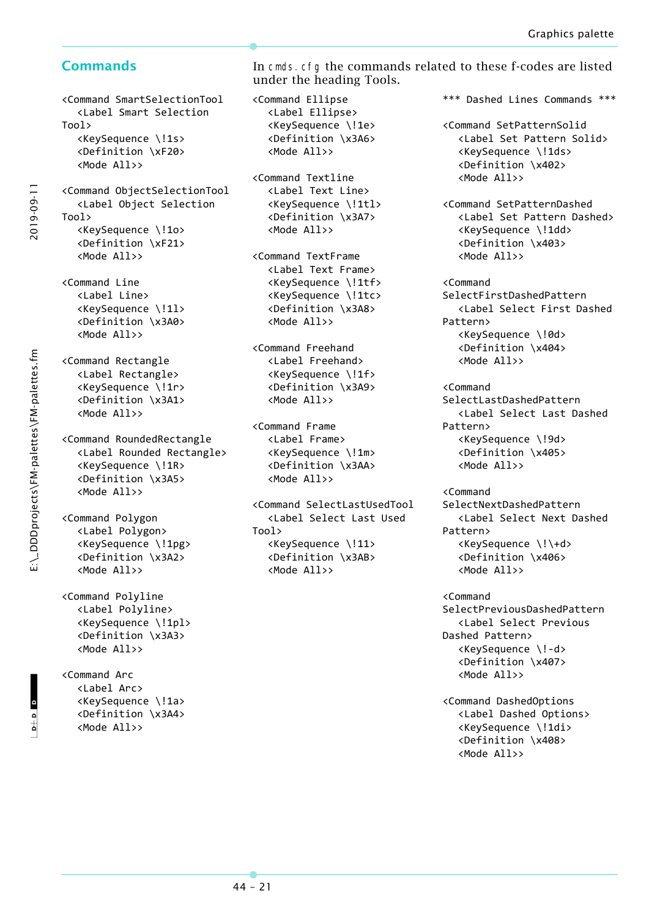<Command SmartSelectionTool <Label Smart Selection Tool> <KeySequence \!1s> <Definition \xF20> <Mode All>> <Command ObjectSelectionTool <Label Object Selection

Tool> <KeySequence \!1o> <Definition \xF21> <Mode All>>

<Command Line <Label Line> <KeySequence \!1l> <Definition \x3A0> <Mode All>>

<Command Rectangle <Label Rectangle> <KeySequence \!1r> <Definition \x3A1> <Mode All>>

<Command RoundedRectangle <Label Rounded Rectangle> <KeySequence \!1R> <Definition \x3A5> <Mode All>>

<Command Polygon <Label Polygon> <KeySequence \!1pg> <Definition \x3A2> <Mode All>>

<Command Polyline <Label Polyline> <KeySequence \!1pl> <Definition \x3A3> <Mode All>>

<Command Arc <Label Arc> <KeySequence \!1a> <Definition \x3A4> <Mode All>>

**Commands** In cmds.cfg the commands related to these f-codes are listed under the heading Tools.

> <Command Ellipse <Label Ellipse> <KeySequence \!1e> <Definition \x3A6>

> > <Mode All>>

<Command Textline <Label Text Line> <KeySequence \!1tl> <Definition \x3A7>

<Mode All>>

<Mode All>>

<Command Freehand <Label Freehand> <KeySequence \!1f> <Definition \x3A9>

<Mode All>>

<Mode All>>

<Mode All>>

Tool>

<Command SelectLastUsedTool <Label Select Last Used

<KeySequence \!11> <Definition \x3AB>

<Command Frame <Label Frame> <KeySequence \!1m> <Definition \x3AA>

<Command TextFrame <Label Text Frame> <KeySequence \!1tf> <KeySequence \!1tc> <Definition \x3A8>

\*\*\* Dashed Lines Commands \*\*\*

<Command SetPatternSolid <Label Set Pattern Solid> <KeySequence \!1ds> <Definition \x402> <Mode All>>

<Command SetPatternDashed <Label Set Pattern Dashed> <KeySequence \!1dd> <Definition \x403> <Mode All>>

<Command SelectFirstDashedPattern <Label Select First Dashed Pattern> <KeySequence \!0d> <Definition \x404> <Mode All>>

<Command SelectLastDashedPattern <Label Select Last Dashed Pattern> <KeySequence \!9d> <Definition \x405> <Mode All>>

<Command SelectNextDashedPattern <Label Select Next Dashed Pattern> <KeySequence \!\+d> <Definition \x406> <Mode All>>

<Command SelectPreviousDashedPattern <Label Select Previous Dashed Pattern> <KeySequence \!‐d> <Definition \x407> <Mode All>>

<Command DashedOptions <Label Dashed Options> <KeySequence \!1di> <Definition \x408> <Mode All>>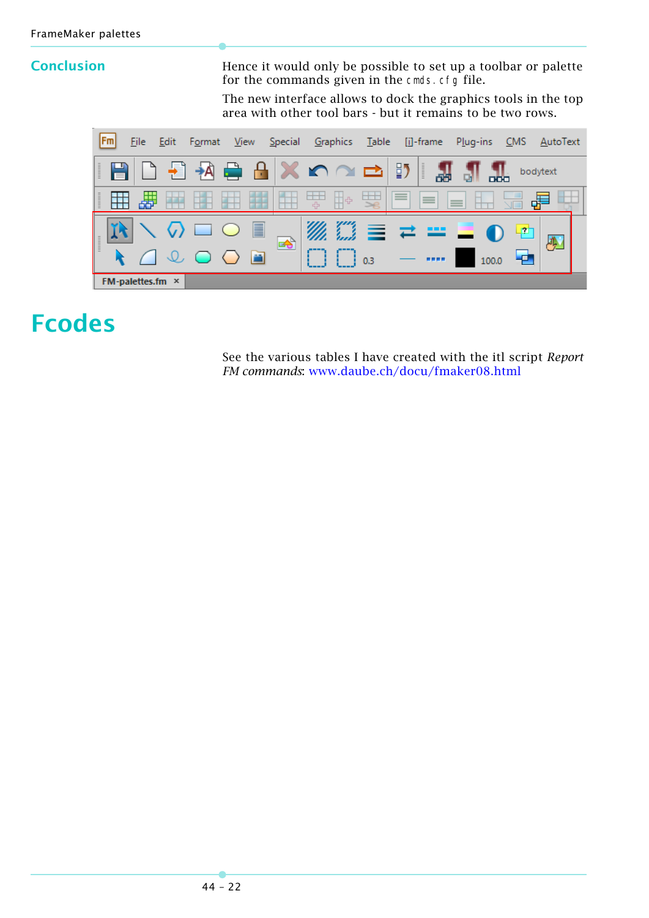**Conclusion** Hence it would only be possible to set up a toolbar or palette for the commands given in the cmds. cfg file.

> The new interface allows to dock the graphics tools in the top area with other tool bars - but it remains to be two rows.



# <span id="page-21-0"></span>**Fcodes**

See the various tables I have created with the itl script *Report FM commands*: [www.daube.ch/docu/fmaker08.html](http://www.daube.ch/docu/fmaker08.html)